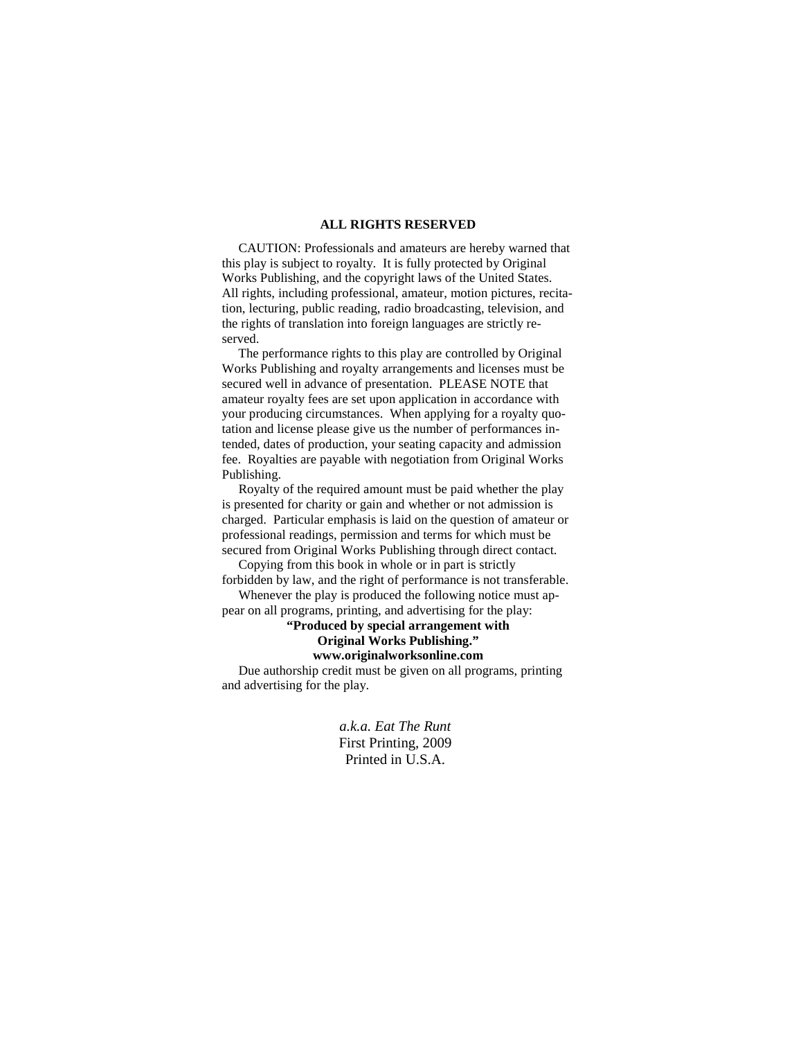## **ALL RIGHTS RESERVED**

 CAUTION: Professionals and amateurs are hereby warned that this play is subject to royalty. It is fully protected by Original Works Publishing, and the copyright laws of the United States. All rights, including professional, amateur, motion pictures, recitation, lecturing, public reading, radio broadcasting, television, and the rights of translation into foreign languages are strictly reserved.

 The performance rights to this play are controlled by Original Works Publishing and royalty arrangements and licenses must be secured well in advance of presentation. PLEASE NOTE that amateur royalty fees are set upon application in accordance with your producing circumstances. When applying for a royalty quotation and license please give us the number of performances intended, dates of production, your seating capacity and admission fee. Royalties are payable with negotiation from Original Works Publishing.

 Royalty of the required amount must be paid whether the play is presented for charity or gain and whether or not admission is charged. Particular emphasis is laid on the question of amateur or professional readings, permission and terms for which must be secured from Original Works Publishing through direct contact.

 Copying from this book in whole or in part is strictly forbidden by law, and the right of performance is not transferable. Whenever the play is produced the following notice must ap-

pear on all programs, printing, and advertising for the play:

## **"Produced by special arrangement with Original Works Publishing." www.originalworksonline.com**

 Due authorship credit must be given on all programs, printing and advertising for the play.

> *a.k.a. Eat The Runt*  First Printing, 2009 Printed in U.S.A.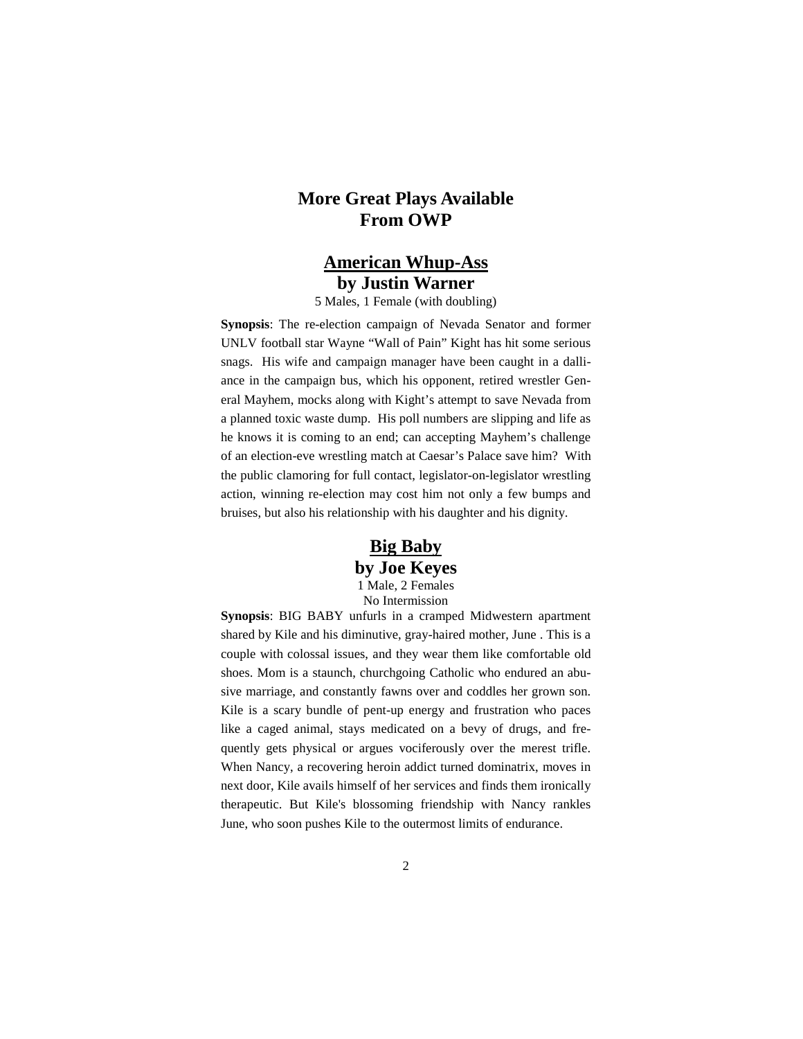# **More Great Plays Available From OWP**

# **American Whup-Ass by Justin Warner**

5 Males, 1 Female (with doubling)

**Synopsis**: The re-election campaign of Nevada Senator and former UNLV football star Wayne "Wall of Pain" Kight has hit some serious snags. His wife and campaign manager have been caught in a dalliance in the campaign bus, which his opponent, retired wrestler General Mayhem, mocks along with Kight's attempt to save Nevada from a planned toxic waste dump. His poll numbers are slipping and life as he knows it is coming to an end; can accepting Mayhem's challenge of an election-eve wrestling match at Caesar's Palace save him? With the public clamoring for full contact, legislator-on-legislator wrestling action, winning re-election may cost him not only a few bumps and bruises, but also his relationship with his daughter and his dignity.

# **Big Baby by Joe Keyes**

1 Male, 2 Females No Intermission

**Synopsis**: BIG BABY unfurls in a cramped Midwestern apartment shared by Kile and his diminutive, gray-haired mother, June . This is a couple with colossal issues, and they wear them like comfortable old shoes. Mom is a staunch, churchgoing Catholic who endured an abusive marriage, and constantly fawns over and coddles her grown son. Kile is a scary bundle of pent-up energy and frustration who paces like a caged animal, stays medicated on a bevy of drugs, and frequently gets physical or argues vociferously over the merest trifle. When Nancy, a recovering heroin addict turned dominatrix, moves in next door, Kile avails himself of her services and finds them ironically therapeutic. But Kile's blossoming friendship with Nancy rankles June, who soon pushes Kile to the outermost limits of endurance.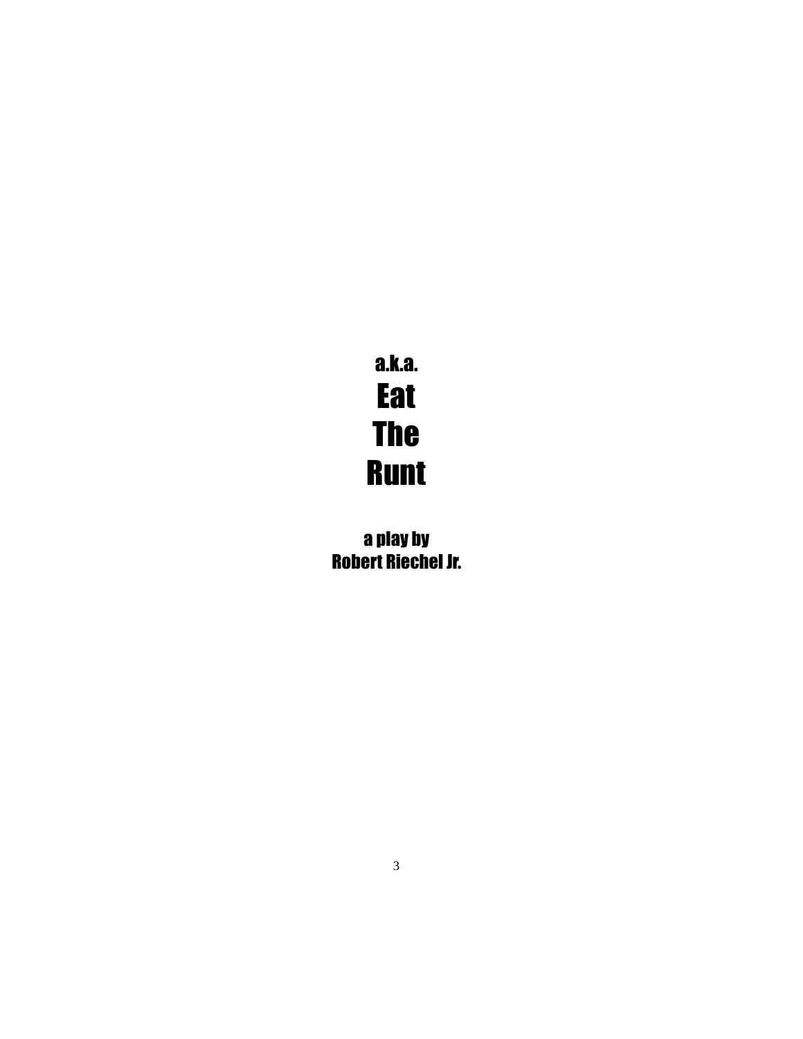# a.k.a. **Eat** The Runt

a play by Robert Riechel Jr.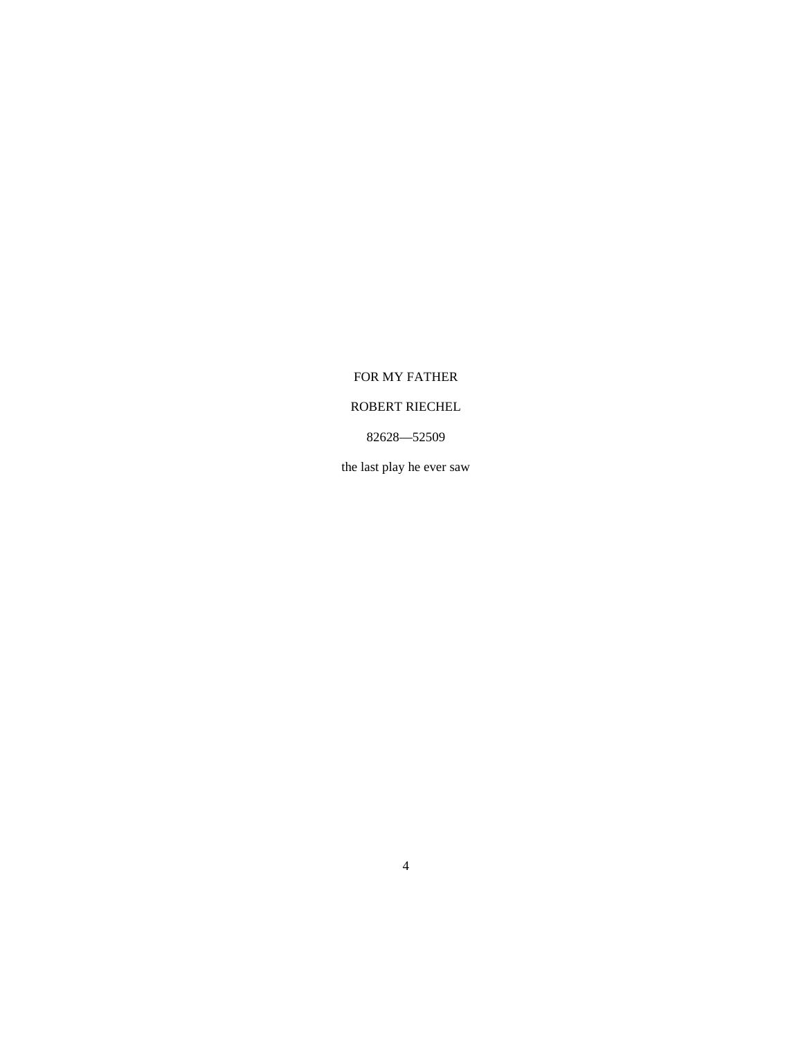# FOR MY FATHER

# ROBERT RIECHEL

# 82628—52509

the last play he ever saw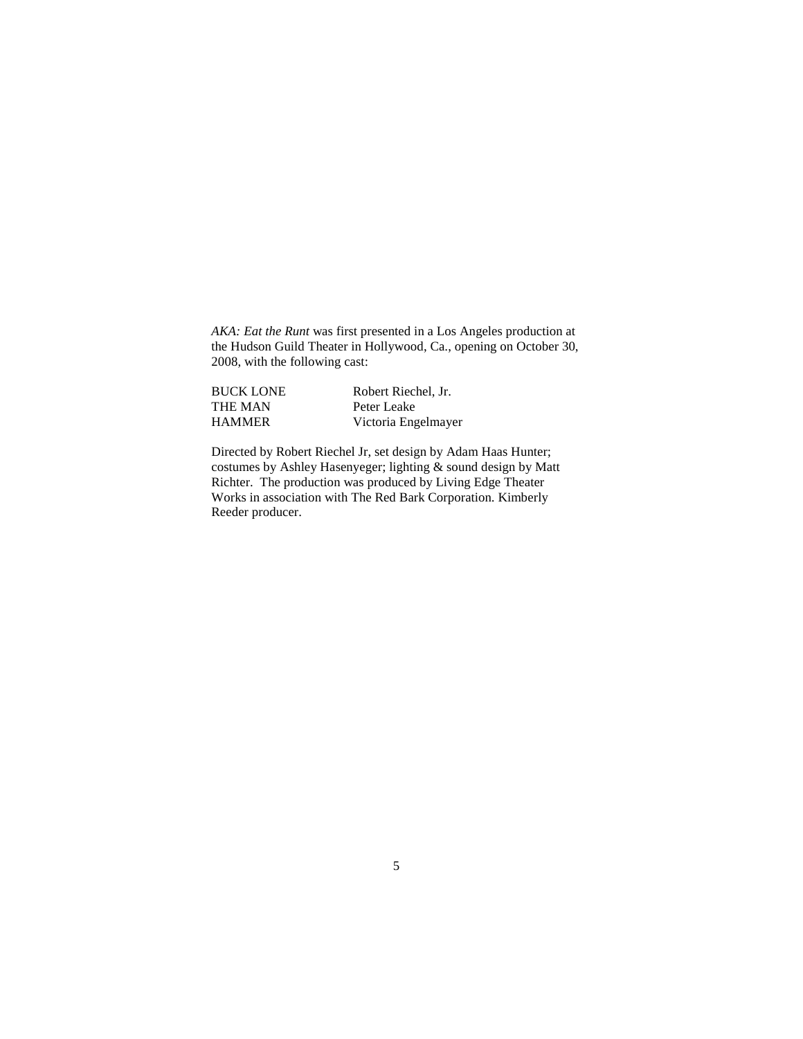AKA: Eat the Runt was first presented in a Los Angeles production at the Hudson Guild Theater in Hollywood, Ca., opening on October 30, 2008, with the following cast:

| <b>BUCK LONE</b> | Robert Riechel, Jr. |
|------------------|---------------------|
| <b>THE MAN</b>   | Peter Leake         |
| <b>HAMMER</b>    | Victoria Engelmayer |

Directed by Robert Riechel Jr, set design by Adam Haas Hunter; costumes by Ashley Hasenyeger; lighting & sound design by Matt Richter. The production was produced by Living Edge Theater Works in association with The Red Bark Corporation. Kimberly Reeder producer.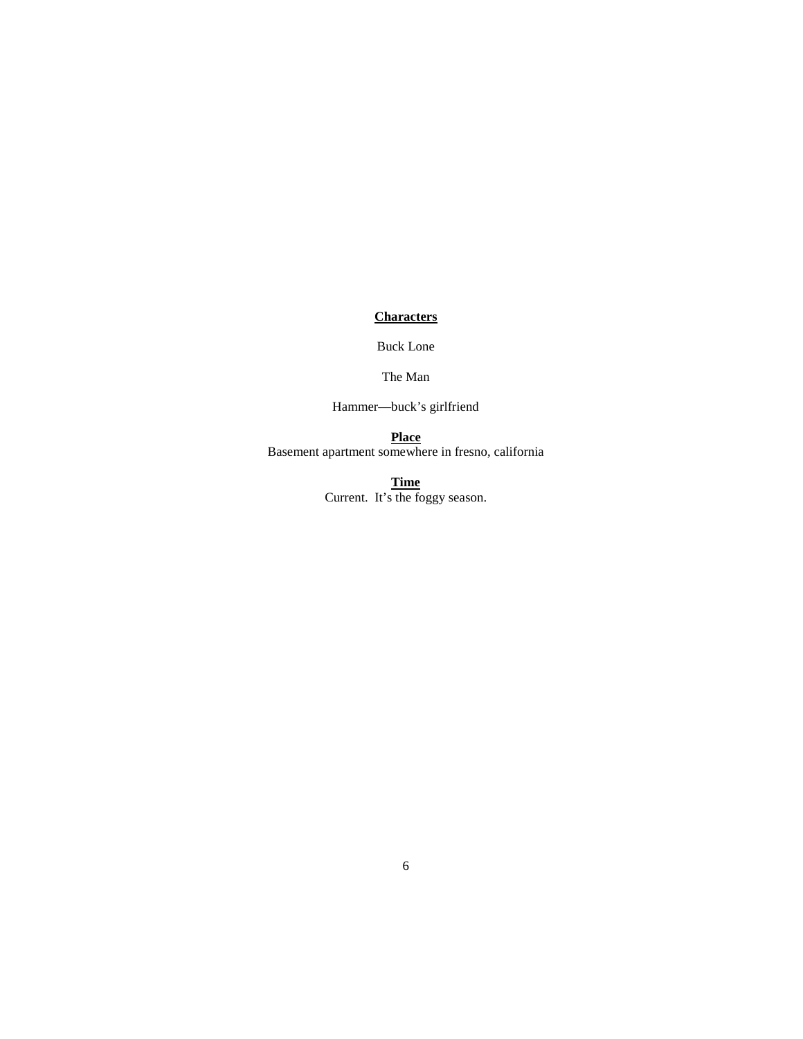**Characters**

Buck Lone

The Man

Hammer—buck's girlfriend

**Place** Basement apartment somewhere in fresno, california

> **Time** Current. It's the foggy season.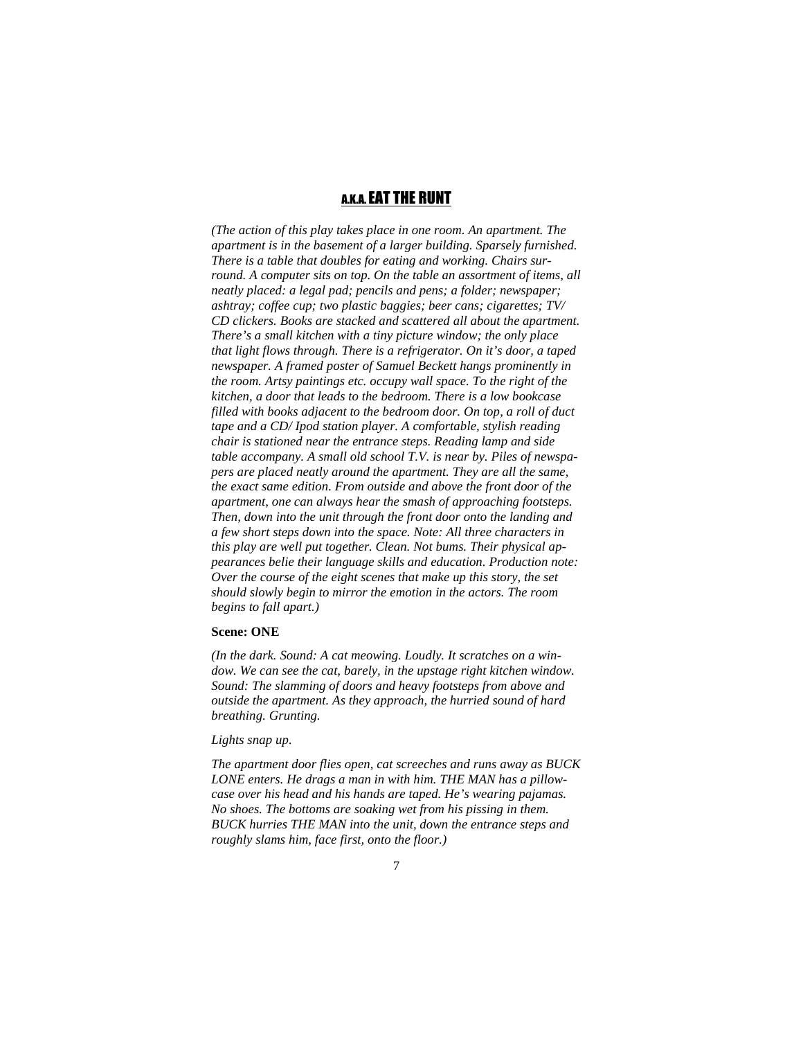# A.K.A. EAT THE RUNT

*(The action of this play takes place in one room. An apartment. The apartment is in the basement of a larger building. Sparsely furnished. There is a table that doubles for eating and working. Chairs surround. A computer sits on top. On the table an assortment of items, all neatly placed: a legal pad; pencils and pens; a folder; newspaper; ashtray; coffee cup; two plastic baggies; beer cans; cigarettes; TV/ CD clickers. Books are stacked and scattered all about the apartment. There's a small kitchen with a tiny picture window; the only place that light flows through. There is a refrigerator. On it's door, a taped newspaper. A framed poster of Samuel Beckett hangs prominently in the room. Artsy paintings etc. occupy wall space. To the right of the kitchen, a door that leads to the bedroom. There is a low bookcase filled with books adjacent to the bedroom door. On top, a roll of duct tape and a CD/ Ipod station player. A comfortable, stylish reading chair is stationed near the entrance steps. Reading lamp and side table accompany. A small old school T.V. is near by. Piles of newspapers are placed neatly around the apartment. They are all the same, the exact same edition. From outside and above the front door of the apartment, one can always hear the smash of approaching footsteps. Then, down into the unit through the front door onto the landing and a few short steps down into the space. Note: All three characters in this play are well put together. Clean. Not bums. Their physical appearances belie their language skills and education. Production note: Over the course of the eight scenes that make up this story, the set should slowly begin to mirror the emotion in the actors. The room begins to fall apart.)*

#### **Scene: ONE**

*(In the dark. Sound: A cat meowing. Loudly. It scratches on a window. We can see the cat, barely, in the upstage right kitchen window. Sound: The slamming of doors and heavy footsteps from above and outside the apartment. As they approach, the hurried sound of hard breathing. Grunting.* 

#### *Lights snap up.*

*The apartment door flies open, cat screeches and runs away as BUCK LONE enters. He drags a man in with him. THE MAN has a pillowcase over his head and his hands are taped. He's wearing pajamas. No shoes. The bottoms are soaking wet from his pissing in them. BUCK hurries THE MAN into the unit, down the entrance steps and roughly slams him, face first, onto the floor.)*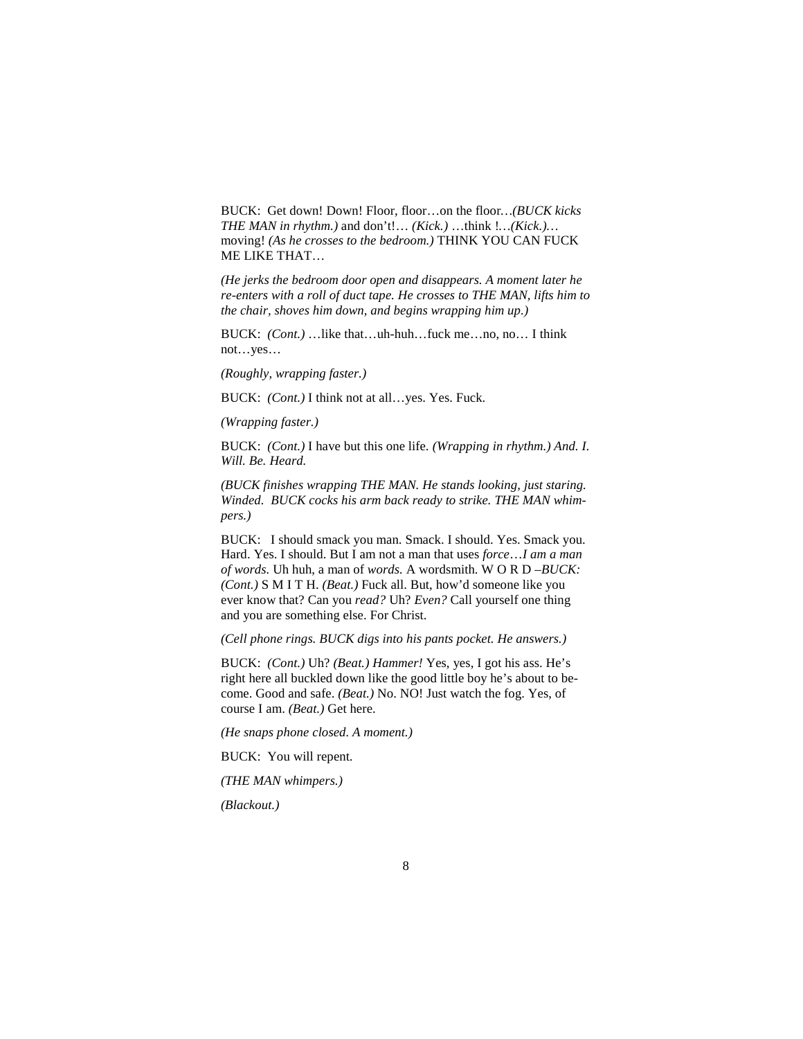BUCK: Get down! Down! Floor, floor…on the floor*…(BUCK kicks THE MAN in rhythm.)* and don't!… *(Kick.)* …think !*…(Kick.)…* moving! *(As he crosses to the bedroom.)* THINK YOU CAN FUCK ME LIKE THAT…

*(He jerks the bedroom door open and disappears. A moment later he re-enters with a roll of duct tape. He crosses to THE MAN, lifts him to the chair, shoves him down, and begins wrapping him up.)* 

BUCK: *(Cont.)* …like that…uh-huh…fuck me…no, no… I think not…yes…

*(Roughly, wrapping faster.)* 

BUCK: *(Cont.)* I think not at all…yes. Yes. Fuck.

*(Wrapping faster.)* 

BUCK: *(Cont.)* I have but this one life. *(Wrapping in rhythm.) And. I. Will. Be. Heard.*

*(BUCK finishes wrapping THE MAN. He stands looking, just staring. Winded. BUCK cocks his arm back ready to strike. THE MAN whimpers.)* 

BUCK: I should smack you man. Smack. I should. Yes. Smack you. Hard. Yes. I should. But I am not a man that uses *force*…*I am a man of words.* Uh huh, a man of *words.* A wordsmith. W O R D –*BUCK: (Cont.)* S M I T H. *(Beat.)* Fuck all. But, how'd someone like you ever know that? Can you *read?* Uh? *Even?* Call yourself one thing and you are something else. For Christ.

*(Cell phone rings. BUCK digs into his pants pocket. He answers.)* 

BUCK: *(Cont.)* Uh? *(Beat.) Hammer!* Yes, yes, I got his ass. He's right here all buckled down like the good little boy he's about to become. Good and safe. *(Beat.)* No. NO! Just watch the fog. Yes, of course I am. *(Beat.)* Get here.

*(He snaps phone closed. A moment.)* 

BUCK: You will repent.

*(THE MAN whimpers.)* 

*(Blackout.)*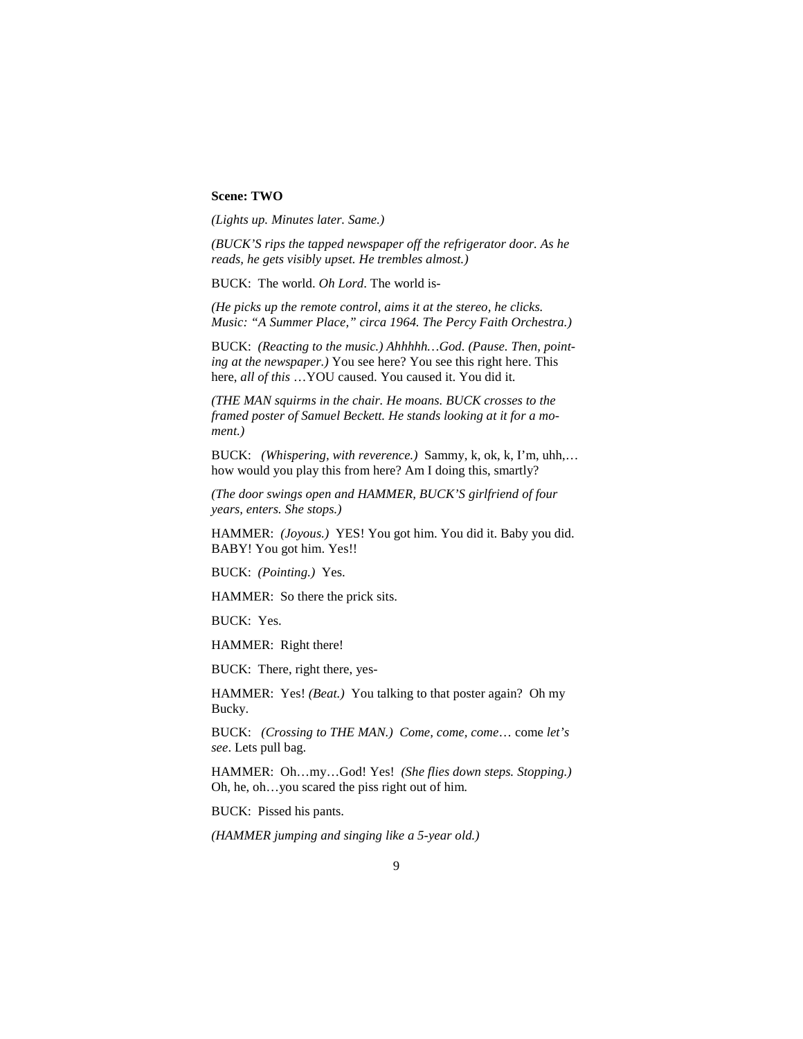## **Scene: TWO**

*(Lights up. Minutes later. Same.)* 

*(BUCK'S rips the tapped newspaper off the refrigerator door. As he reads, he gets visibly upset. He trembles almost.)*

BUCK: The world. *Oh Lord*. The world is-

*(He picks up the remote control, aims it at the stereo, he clicks. Music: "A Summer Place," circa 1964. The Percy Faith Orchestra.)* 

BUCK: *(Reacting to the music.) Ahhhhh…God. (Pause. Then, pointing at the newspaper.)* You see here? You see this right here. This here, *all of this* …YOU caused. You caused it. You did it.

*(THE MAN squirms in the chair. He moans. BUCK crosses to the framed poster of Samuel Beckett. He stands looking at it for a moment.)* 

BUCK: *(Whispering, with reverence.)* Sammy, k, ok, k, I'm, uhh,… how would you play this from here? Am I doing this, smartly?

*(The door swings open and HAMMER, BUCK'S girlfriend of four years, enters. She stops.)* 

HAMMER: *(Joyous.)* YES! You got him. You did it. Baby you did. BABY! You got him. Yes!!

BUCK: *(Pointing.)* Yes.

HAMMER: So there the prick sits.

BUCK: Yes.

HAMMER: Right there!

BUCK: There, right there, yes-

HAMMER: Yes! *(Beat.)* You talking to that poster again? Oh my Bucky.

BUCK: *(Crossing to THE MAN.) Come, come, come*… come *let's see*. Lets pull bag.

HAMMER: Oh…my…God! Yes! *(She flies down steps. Stopping.)* Oh, he, oh…you scared the piss right out of him*.*

BUCK: Pissed his pants.

*(HAMMER jumping and singing like a 5-year old.)*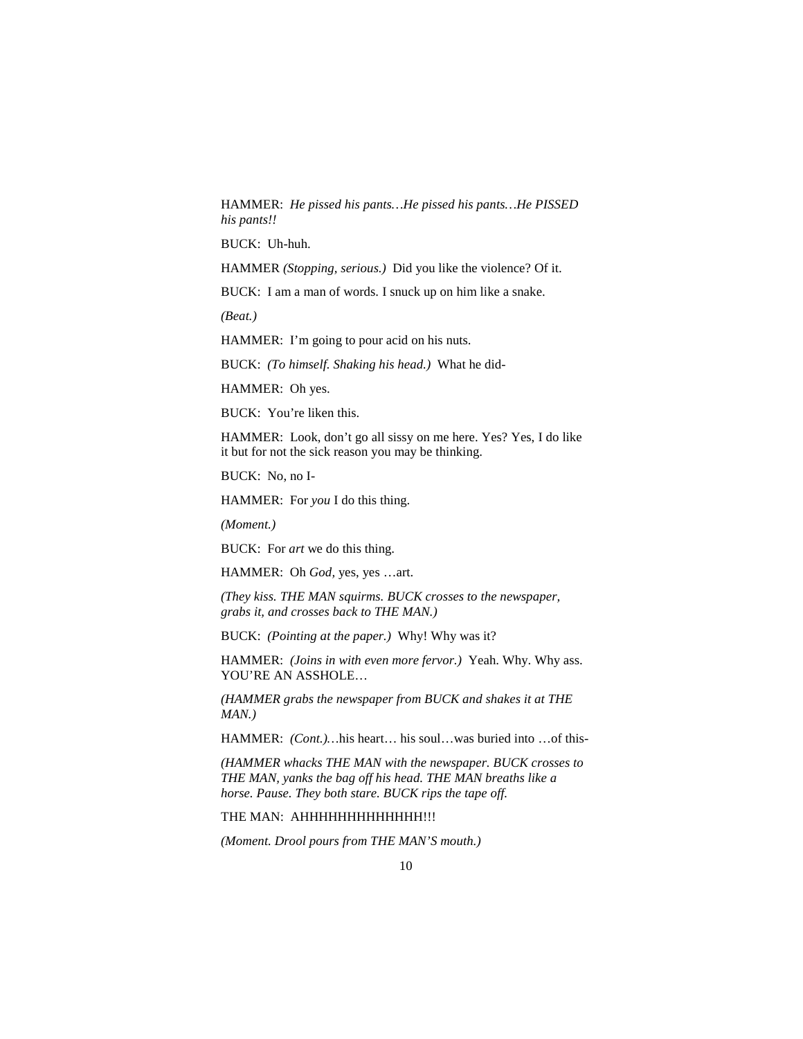HAMMER: *He pissed his pants…He pissed his pants…He PISSED his pants!!*

BUCK: Uh-huh.

HAMMER *(Stopping, serious.)* Did you like the violence? Of it.

BUCK: I am a man of words. I snuck up on him like a snake.

*(Beat.)* 

HAMMER: I'm going to pour acid on his nuts.

BUCK: *(To himself. Shaking his head.)* What he did-

HAMMER: Oh yes.

BUCK: You're liken this.

HAMMER: Look, don't go all sissy on me here. Yes? Yes, I do like it but for not the sick reason you may be thinking.

BUCK: No, no I-

HAMMER: For *you* I do this thing.

*(Moment.)* 

BUCK: For *art* we do this thing.

HAMMER: Oh *God,* yes, yes …art.

*(They kiss. THE MAN squirms. BUCK crosses to the newspaper, grabs it, and crosses back to THE MAN.)* 

BUCK: *(Pointing at the paper.)* Why! Why was it?

HAMMER: *(Joins in with even more fervor.)* Yeah. Why. Why ass. YOU'RE AN ASSHOLE…

*(HAMMER grabs the newspaper from BUCK and shakes it at THE MAN.)*

HAMMER: *(Cont.)…*his heart… his soul…was buried into …of this-

*(HAMMER whacks THE MAN with the newspaper. BUCK crosses to THE MAN, yanks the bag off his head. THE MAN breaths like a horse. Pause. They both stare. BUCK rips the tape off.* 

THE MAN: AHHHHHHHHHHHH!!!

*(Moment. Drool pours from THE MAN'S mouth.)*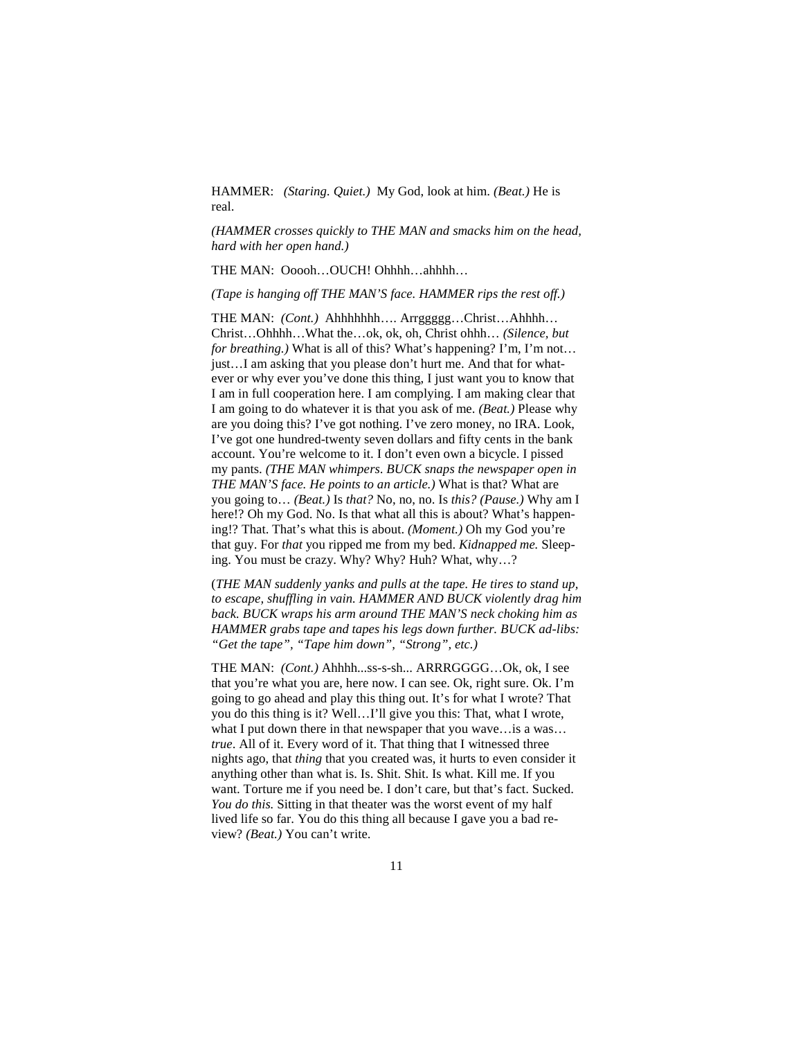HAMMER: *(Staring. Quiet.)* My God, look at him. *(Beat.)* He is real.

*(HAMMER crosses quickly to THE MAN and smacks him on the head, hard with her open hand.)* 

THE MAN: Ooooh…OUCH! Ohhhh…ahhhh…

*(Tape is hanging off THE MAN'S face. HAMMER rips the rest off.)* 

THE MAN: *(Cont.)* Ahhhhhhh…. Arrggggg…Christ…Ahhhh… Christ…Ohhhh…What the…ok, ok, oh, Christ ohhh… *(Silence, but for breathing.)* What is all of this? What's happening? I'm, I'm not… just…I am asking that you please don't hurt me. And that for whatever or why ever you've done this thing, I just want you to know that I am in full cooperation here. I am complying. I am making clear that I am going to do whatever it is that you ask of me. *(Beat.)* Please why are you doing this? I've got nothing. I've zero money, no IRA. Look, I've got one hundred-twenty seven dollars and fifty cents in the bank account. You're welcome to it. I don't even own a bicycle. I pissed my pants. *(THE MAN whimpers*. *BUCK snaps the newspaper open in THE MAN'S face. He points to an article.)* What is that? What are you going to… *(Beat.)* Is *that?* No, no, no. Is *this? (Pause.)* Why am I here!? Oh my God. No. Is that what all this is about? What's happening!? That. That's what this is about. *(Moment.)* Oh my God you're that guy. For *that* you ripped me from my bed. *Kidnapped me.* Sleeping. You must be crazy. Why? Why? Huh? What, why…?

(*THE MAN suddenly yanks and pulls at the tape. He tires to stand up, to escape, shuffling in vain. HAMMER AND BUCK violently drag him back. BUCK wraps his arm around THE MAN'S neck choking him as HAMMER grabs tape and tapes his legs down further. BUCK ad-libs: "Get the tape", "Tape him down", "Strong", etc.)*

THE MAN: *(Cont.)* Ahhhh...ss-s-sh... ARRRGGGG…Ok, ok, I see that you're what you are, here now. I can see. Ok, right sure. Ok. I'm going to go ahead and play this thing out. It's for what I wrote? That you do this thing is it? Well…I'll give you this: That, what I wrote, what I put down there in that newspaper that you wave…is a was… *true*. All of it. Every word of it. That thing that I witnessed three nights ago, that *thing* that you created was, it hurts to even consider it anything other than what is. Is. Shit. Shit. Is what. Kill me. If you want. Torture me if you need be. I don't care, but that's fact. Sucked. *You do this.* Sitting in that theater was the worst event of my half lived life so far. You do this thing all because I gave you a bad review? *(Beat.)* You can't write.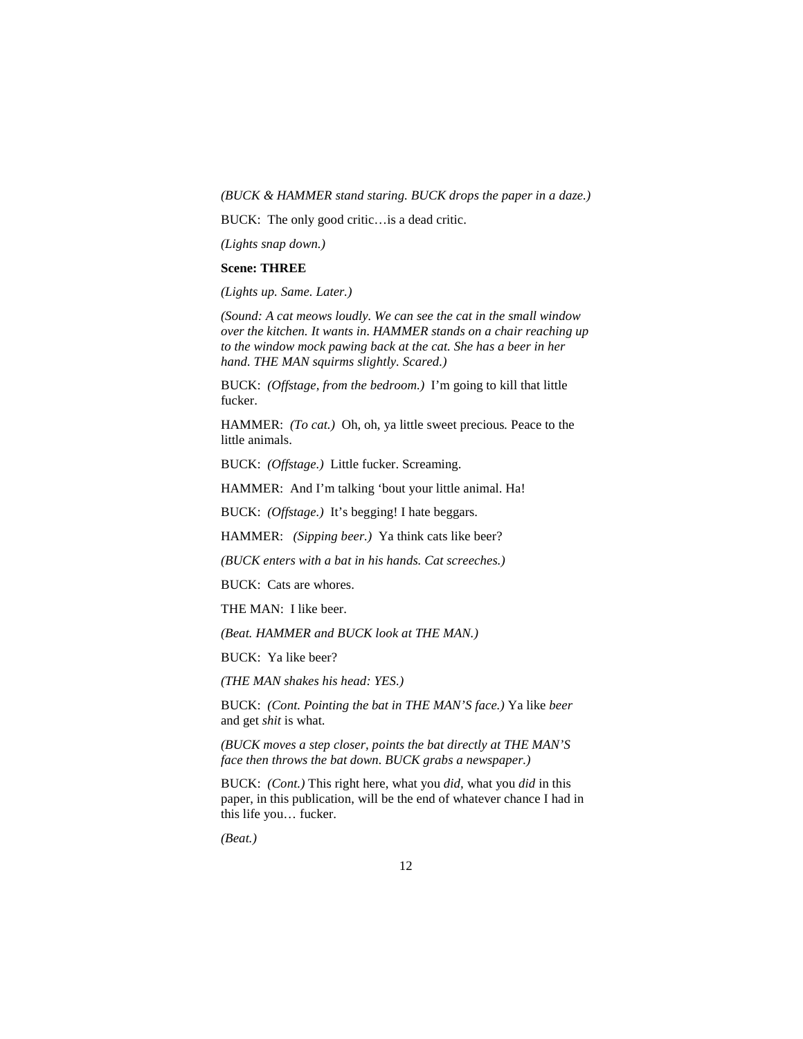## *(BUCK & HAMMER stand staring. BUCK drops the paper in a daze.)*

BUCK: The only good critic…is a dead critic.

*(Lights snap down.)*

## **Scene: THREE**

*(Lights up. Same. Later.)* 

*(Sound: A cat meows loudly. We can see the cat in the small window over the kitchen. It wants in. HAMMER stands on a chair reaching up to the window mock pawing back at the cat. She has a beer in her hand. THE MAN squirms slightly. Scared.)* 

BUCK: *(Offstage, from the bedroom.)* I'm going to kill that little fucker.

HAMMER: *(To cat.)* Oh, oh, ya little sweet precious*.* Peace to the little animals.

BUCK: *(Offstage.)* Little fucker. Screaming.

HAMMER: And I'm talking 'bout your little animal. Ha!

BUCK: *(Offstage.)* It's begging! I hate beggars.

HAMMER: *(Sipping beer.)* Ya think cats like beer?

*(BUCK enters with a bat in his hands. Cat screeches.)* 

BUCK: Cats are whores.

THE MAN: I like beer.

*(Beat. HAMMER and BUCK look at THE MAN.)* 

BUCK: Ya like beer?

*(THE MAN shakes his head: YES.)* 

BUCK: *(Cont. Pointing the bat in THE MAN'S face.)* Ya like *beer*  and get *shit* is what.

*(BUCK moves a step closer, points the bat directly at THE MAN'S face then throws the bat down. BUCK grabs a newspaper.)* 

BUCK: *(Cont.)* This right here, what you *did,* what you *did* in this paper, in this publication, will be the end of whatever chance I had in this life you… fucker.

*(Beat.)*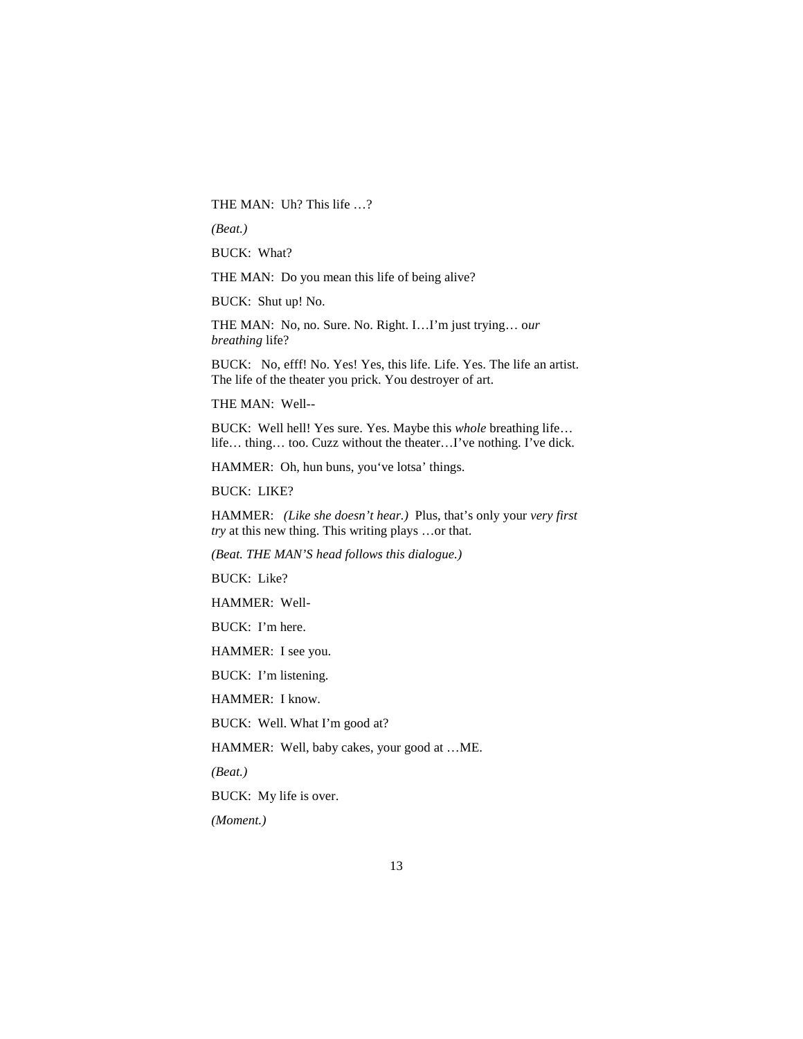THE MAN:Uh? This life …?

*(Beat.)* 

BUCK: What?

THE MAN: Do you mean this life of being alive?

BUCK: Shut up! No.

THE MAN: No, no. Sure. No. Right. I…I'm just trying… o*ur breathing* life?

BUCK: No, efff! No. Yes! Yes, this life. Life. Yes. The life an artist. The life of the theater you prick. You destroyer of art.

THE MAN: Well--

BUCK: Well hell! Yes sure. Yes. Maybe this *whole* breathing life… life… thing… too. Cuzz without the theater…I've nothing. I've dick.

HAMMER: Oh, hun buns, you've lotsa' things.

BUCK: LIKE?

HAMMER: *(Like she doesn't hear.)* Plus, that's only your *very first try* at this new thing. This writing plays …or that.

*(Beat. THE MAN'S head follows this dialogue.)* 

BUCK: Like?

HAMMER: Well-

BUCK: I'm here.

HAMMER: I see you.

BUCK: I'm listening.

HAMMER: I know.

BUCK: Well. What I'm good at?

HAMMER: Well, baby cakes, your good at …ME.

*(Beat.)* 

BUCK: My life is over.

*(Moment.)*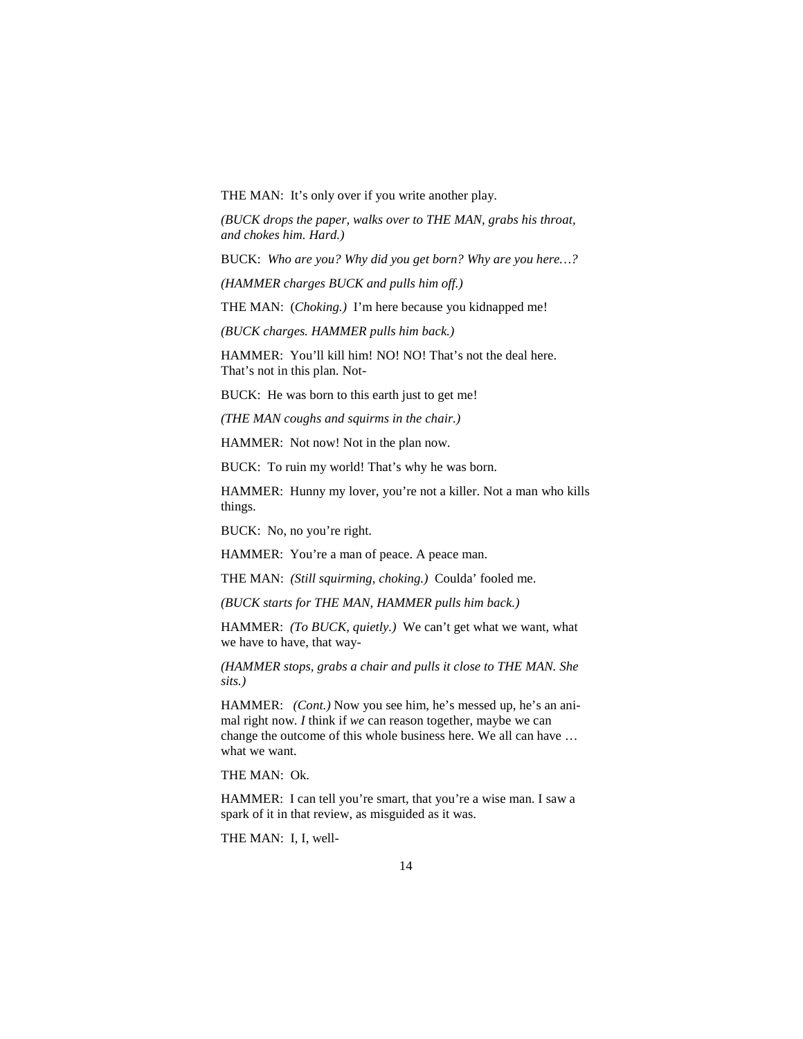THE MAN: It's only over if you write another play.

*(BUCK drops the paper, walks over to THE MAN, grabs his throat, and chokes him. Hard.)* 

BUCK: *Who are you? Why did you get born? Why are you here…?*

*(HAMMER charges BUCK and pulls him off.)* 

THE MAN: (*Choking.)* I'm here because you kidnapped me!

*(BUCK charges. HAMMER pulls him back.)* 

HAMMER: You'll kill him! NO! NO! That's not the deal here. That's not in this plan. Not-

BUCK: He was born to this earth just to get me!

*(THE MAN coughs and squirms in the chair.)* 

HAMMER: Not now! Not in the plan now.

BUCK: To ruin my world! That's why he was born.

HAMMER: Hunny my lover, you're not a killer. Not a man who kills things.

BUCK: No, no you're right.

HAMMER: You're a man of peace. A peace man.

THE MAN: *(Still squirming, choking.)* Coulda' fooled me.

*(BUCK starts for THE MAN, HAMMER pulls him back.)* 

HAMMER: *(To BUCK, quietly.)* We can't get what we want, what we have to have, that way-

*(HAMMER stops, grabs a chair and pulls it close to THE MAN. She sits.)* 

HAMMER: *(Cont.)* Now you see him, he's messed up, he's an animal right now. *I* think if *we* can reason together, maybe we can change the outcome of this whole business here. We all can have … what we want.

THE MAN: Ok.

HAMMER: I can tell you're smart, that you're a wise man. I saw a spark of it in that review, as misguided as it was.

THE MAN: I, I, well-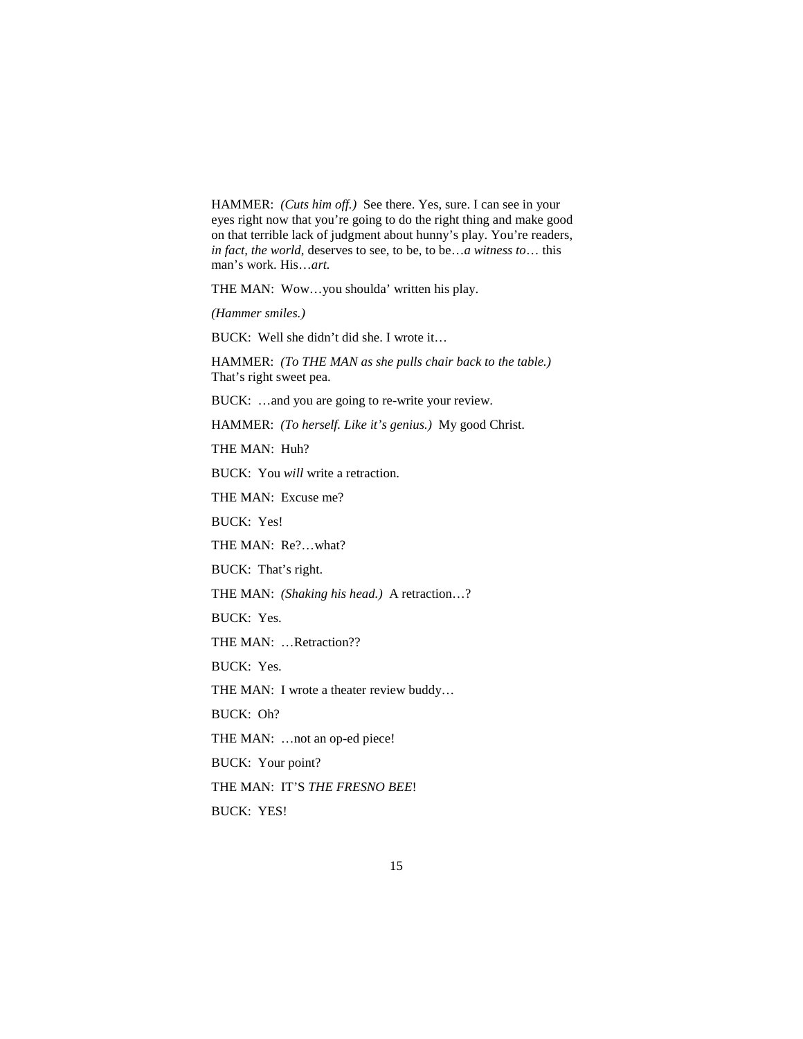HAMMER: *(Cuts him off.)* See there. Yes, sure. I can see in your eyes right now that you're going to do the right thing and make good on that terrible lack of judgment about hunny's play. You're readers, *in fact, the world*, deserves to see, to be, to be…*a witness to*… this man's work. His…*art.* 

THE MAN: Wow…you shoulda' written his play.

*(Hammer smiles.)* 

BUCK: Well she didn't did she. I wrote it…

HAMMER: *(To THE MAN as she pulls chair back to the table.)* That's right sweet pea.

BUCK: …and you are going to re-write your review.

HAMMER: *(To herself. Like it's genius.)* My good Christ.

THE MAN: Huh?

BUCK: You *will* write a retraction.

THE MAN: Excuse me?

BUCK: Yes!

THE MAN: Re?…what?

BUCK: That's right.

THE MAN: *(Shaking his head.)* A retraction…?

BUCK: Yes.

THE MAN: …Retraction??

BUCK: Yes.

THE MAN: I wrote a theater review buddy…

BUCK: Oh?

THE MAN: ...not an op-ed piece!

BUCK: Your point?

THE MAN: IT'S *THE FRESNO BEE*!

BUCK: YES!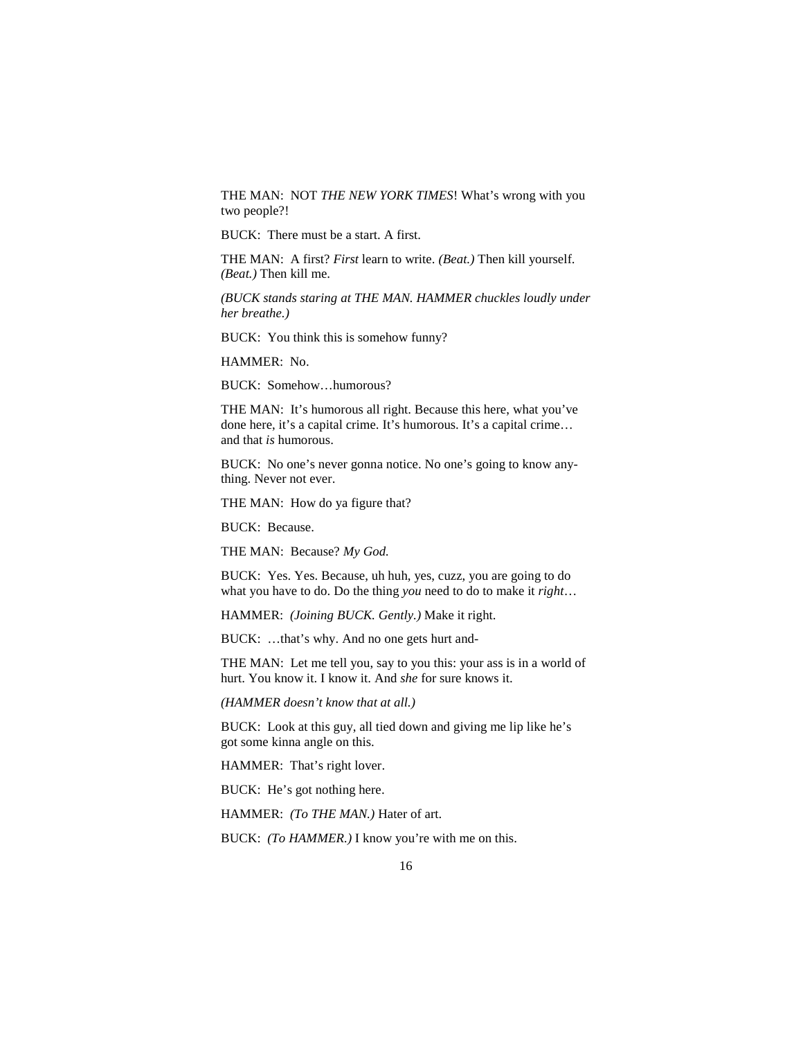THE MAN: NOT *THE NEW YORK TIMES*! What's wrong with you two people?!

BUCK: There must be a start. A first.

THE MAN: A first? *First* learn to write. *(Beat.)* Then kill yourself. *(Beat.)* Then kill me.

*(BUCK stands staring at THE MAN. HAMMER chuckles loudly under her breathe.)* 

BUCK: You think this is somehow funny?

HAMMER: No.

BUCK: Somehow…humorous?

THE MAN: It's humorous all right. Because this here, what you've done here, it's a capital crime. It's humorous. It's a capital crime… and that *is* humorous.

BUCK: No one's never gonna notice. No one's going to know anything. Never not ever.

THE MAN: How do ya figure that?

BUCK: Because.

THE MAN: Because? *My God.*

BUCK: Yes. Yes. Because, uh huh, yes, cuzz, you are going to do what you have to do. Do the thing *you* need to do to make it *right*…

HAMMER: *(Joining BUCK. Gently.)* Make it right.

BUCK: …that's why. And no one gets hurt and-

THE MAN: Let me tell you, say to you this: your ass is in a world of hurt. You know it. I know it. And *she* for sure knows it.

*(HAMMER doesn't know that at all.)* 

BUCK: Look at this guy, all tied down and giving me lip like he's got some kinna angle on this.

HAMMER: That's right lover.

BUCK: He's got nothing here.

HAMMER: *(To THE MAN.)* Hater of art.

BUCK: *(To HAMMER.)* I know you're with me on this.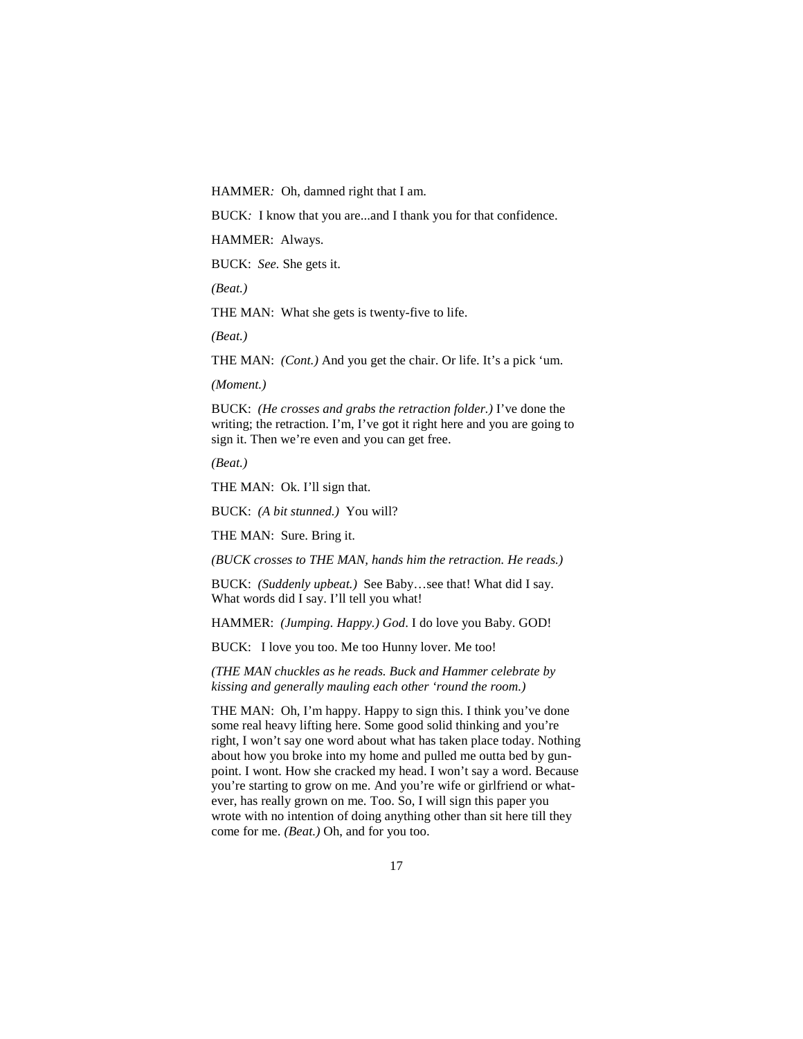HAMMER*:* Oh, damned right that I am.

BUCK*:* I know that you are...and I thank you for that confidence.

HAMMER: Always.

BUCK: *See.* She gets it.

*(Beat.)*

THE MAN: What she gets is twenty-five to life.

*(Beat.)* 

THE MAN: *(Cont.)* And you get the chair. Or life. It's a pick 'um.

*(Moment.)* 

BUCK: *(He crosses and grabs the retraction folder.)* I've done the writing; the retraction. I'm, I've got it right here and you are going to sign it. Then we're even and you can get free.

*(Beat.)* 

THE MAN: Ok. I'll sign that.

BUCK: *(A bit stunned.)* You will?

THE MAN: Sure. Bring it.

*(BUCK crosses to THE MAN, hands him the retraction. He reads.)* 

BUCK: *(Suddenly upbeat.)* See Baby…see that! What did I say. What words did I say. I'll tell you what!

HAMMER: *(Jumping. Happy.) God*. I do love you Baby. GOD!

BUCK: I love you too. Me too Hunny lover. Me too!

*(THE MAN chuckles as he reads. Buck and Hammer celebrate by kissing and generally mauling each other 'round the room.)* 

THE MAN: Oh, I'm happy. Happy to sign this. I think you've done some real heavy lifting here. Some good solid thinking and you're right, I won't say one word about what has taken place today. Nothing about how you broke into my home and pulled me outta bed by gunpoint. I wont. How she cracked my head. I won't say a word. Because you're starting to grow on me. And you're wife or girlfriend or whatever, has really grown on me. Too. So, I will sign this paper you wrote with no intention of doing anything other than sit here till they come for me. *(Beat.)* Oh, and for you too.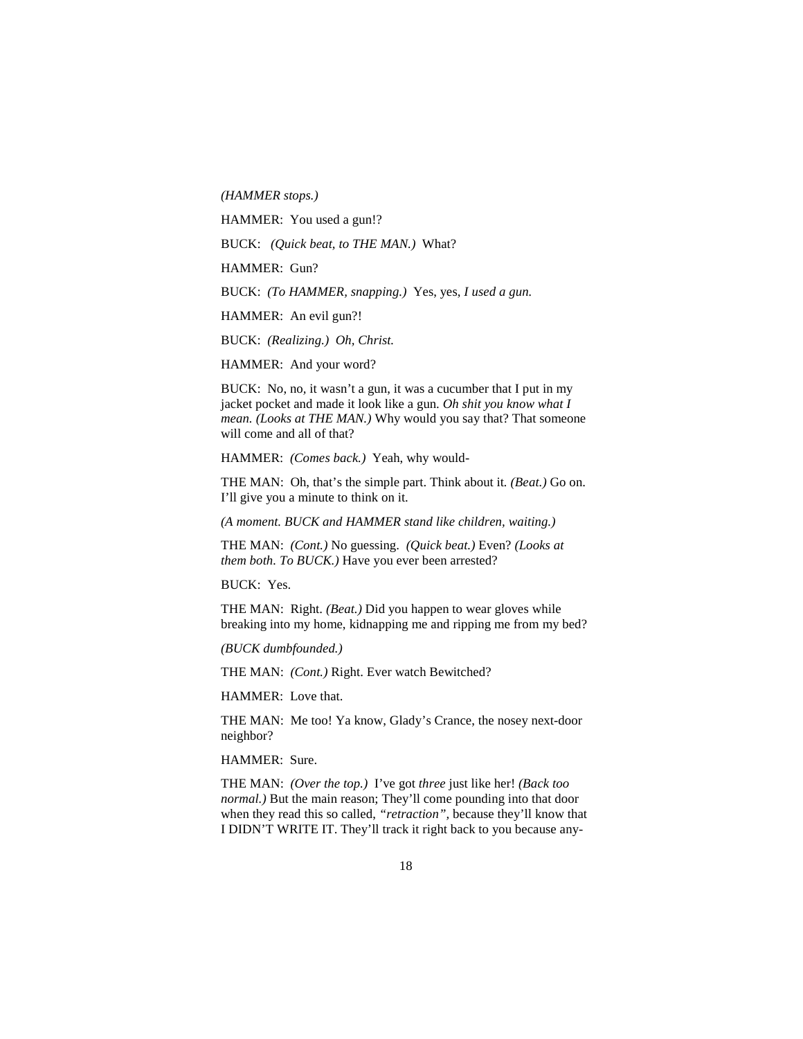*(HAMMER stops.)* 

HAMMER: You used a gun!?

BUCK: *(Quick beat, to THE MAN.)* What?

HAMMER: Gun?

BUCK: *(To HAMMER, snapping.)* Yes, yes, *I used a gun.*

HAMMER: An evil gun?!

BUCK: *(Realizing.) Oh, Christ.* 

HAMMER: And your word?

BUCK: No, no, it wasn't a gun, it was a cucumber that I put in my jacket pocket and made it look like a gun. *Oh shit you know what I mean. (Looks at THE MAN.)* Why would you say that? That someone will come and all of that?

HAMMER: *(Comes back.)* Yeah, why would-

THE MAN: Oh, that's the simple part. Think about it*. (Beat.)* Go on. I'll give you a minute to think on it.

*(A moment. BUCK and HAMMER stand like children, waiting.)* 

THE MAN: *(Cont.)* No guessing. *(Quick beat.)* Even? *(Looks at them both. To BUCK.)* Have you ever been arrested?

BUCK: Yes.

THE MAN: Right. *(Beat.)* Did you happen to wear gloves while breaking into my home, kidnapping me and ripping me from my bed?

*(BUCK dumbfounded.)* 

THE MAN: *(Cont.)* Right. Ever watch Bewitched?

HAMMER: Love that.

THE MAN: Me too! Ya know, Glady's Crance, the nosey next-door neighbor?

HAMMER: Sure.

THE MAN: *(Over the top.)* I've got *three* just like her! *(Back too normal.*) But the main reason; They'll come pounding into that door when they read this so called, *"retraction",* because they'll know that I DIDN'T WRITE IT. They'll track it right back to you because any-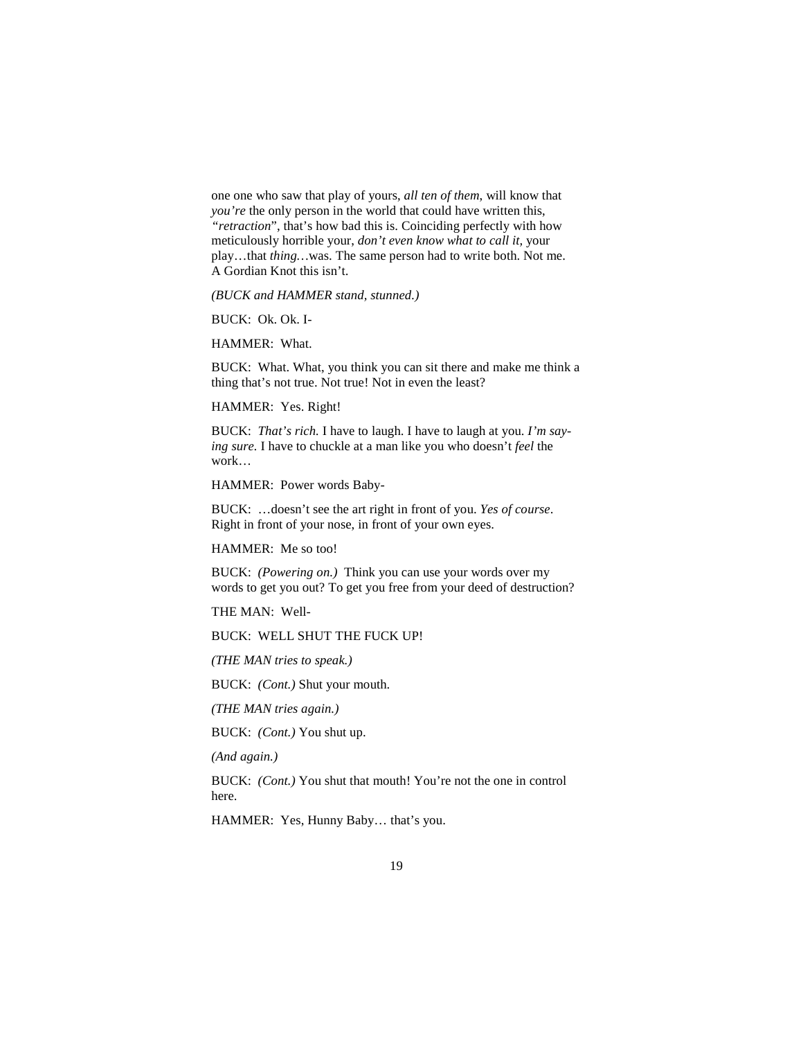one one who saw that play of yours, *all ten of them*, will know that *you're* the only person in the world that could have written this, *"retraction*", that's how bad this is. Coinciding perfectly with how meticulously horrible your, *don't even know what to call it,* your play…that *thing…*was. The same person had to write both. Not me. A Gordian Knot this isn't.

*(BUCK and HAMMER stand, stunned.)*

BUCK: Ok. Ok. I-

HAMMER: What.

BUCK: What. What, you think you can sit there and make me think a thing that's not true. Not true! Not in even the least?

HAMMER: Yes. Right!

BUCK: *That's rich.* I have to laugh. I have to laugh at you. *I'm saying sure.* I have to chuckle at a man like you who doesn't *feel* the work…

HAMMER: Power words Baby-

BUCK: …doesn't see the art right in front of you. *Yes of course*. Right in front of your nose, in front of your own eyes.

HAMMER: Me so too!

BUCK: *(Powering on.)* Think you can use your words over my words to get you out? To get you free from your deed of destruction?

THE MAN: Well-

BUCK: WELL SHUT THE FUCK UP!

*(THE MAN tries to speak.)* 

BUCK: *(Cont.)* Shut your mouth.

*(THE MAN tries again.)* 

BUCK: *(Cont.)* You shut up.

*(And again.)* 

BUCK: *(Cont.)* You shut that mouth! You're not the one in control here.

HAMMER: Yes, Hunny Baby… that's you.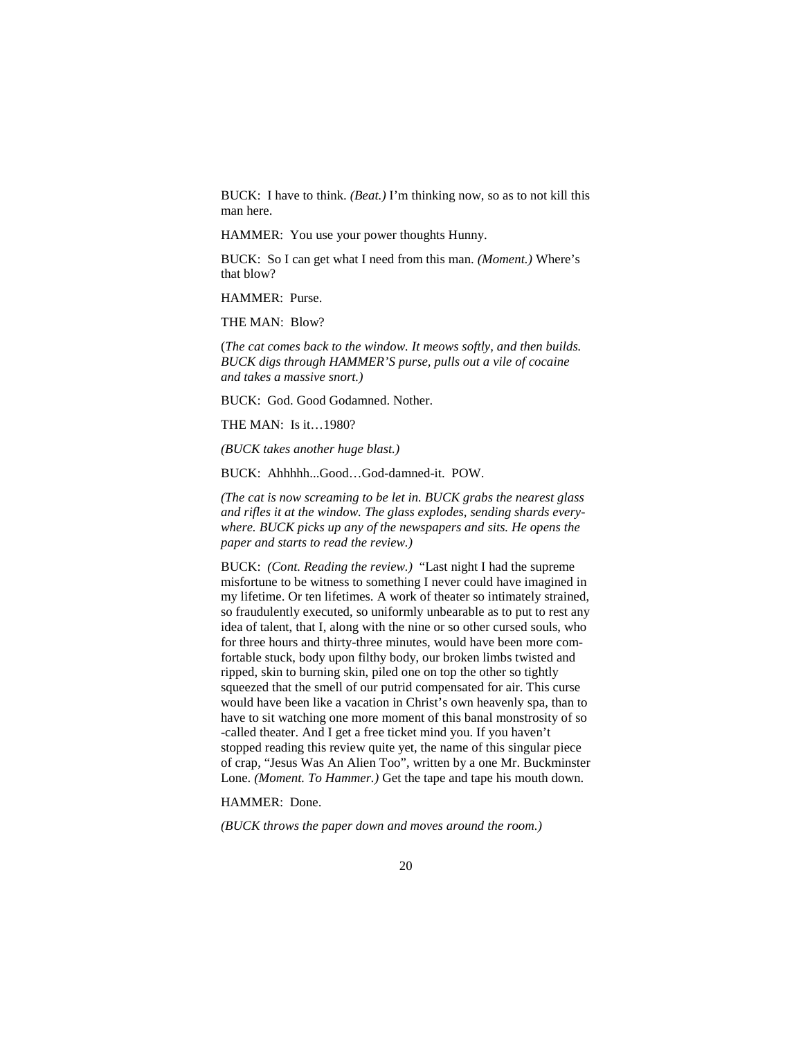BUCK: I have to think. *(Beat.)* I'm thinking now, so as to not kill this man here.

HAMMER: You use your power thoughts Hunny.

BUCK: So I can get what I need from this man. *(Moment.)* Where's that blow?

HAMMER: Purse.

THE MAN: Blow?

(*The cat comes back to the window. It meows softly, and then builds. BUCK digs through HAMMER'S purse, pulls out a vile of cocaine and takes a massive snort.)*

BUCK: God. Good Godamned. Nother.

THE MAN: Is it…1980?

*(BUCK takes another huge blast.)* 

BUCK: Ahhhhh...Good…God-damned-it. POW.

*(The cat is now screaming to be let in. BUCK grabs the nearest glass and rifles it at the window. The glass explodes, sending shards everywhere. BUCK picks up any of the newspapers and sits. He opens the paper and starts to read the review.)* 

BUCK: *(Cont. Reading the review.)* "Last night I had the supreme misfortune to be witness to something I never could have imagined in my lifetime. Or ten lifetimes. A work of theater so intimately strained, so fraudulently executed, so uniformly unbearable as to put to rest any idea of talent, that I, along with the nine or so other cursed souls, who for three hours and thirty-three minutes, would have been more comfortable stuck, body upon filthy body, our broken limbs twisted and ripped, skin to burning skin, piled one on top the other so tightly squeezed that the smell of our putrid compensated for air. This curse would have been like a vacation in Christ's own heavenly spa, than to have to sit watching one more moment of this banal monstrosity of so -called theater. And I get a free ticket mind you. If you haven't stopped reading this review quite yet, the name of this singular piece of crap, "Jesus Was An Alien Too", written by a one Mr. Buckminster Lone. *(Moment. To Hammer.)* Get the tape and tape his mouth down.

HAMMER: Done.

*(BUCK throws the paper down and moves around the room.)*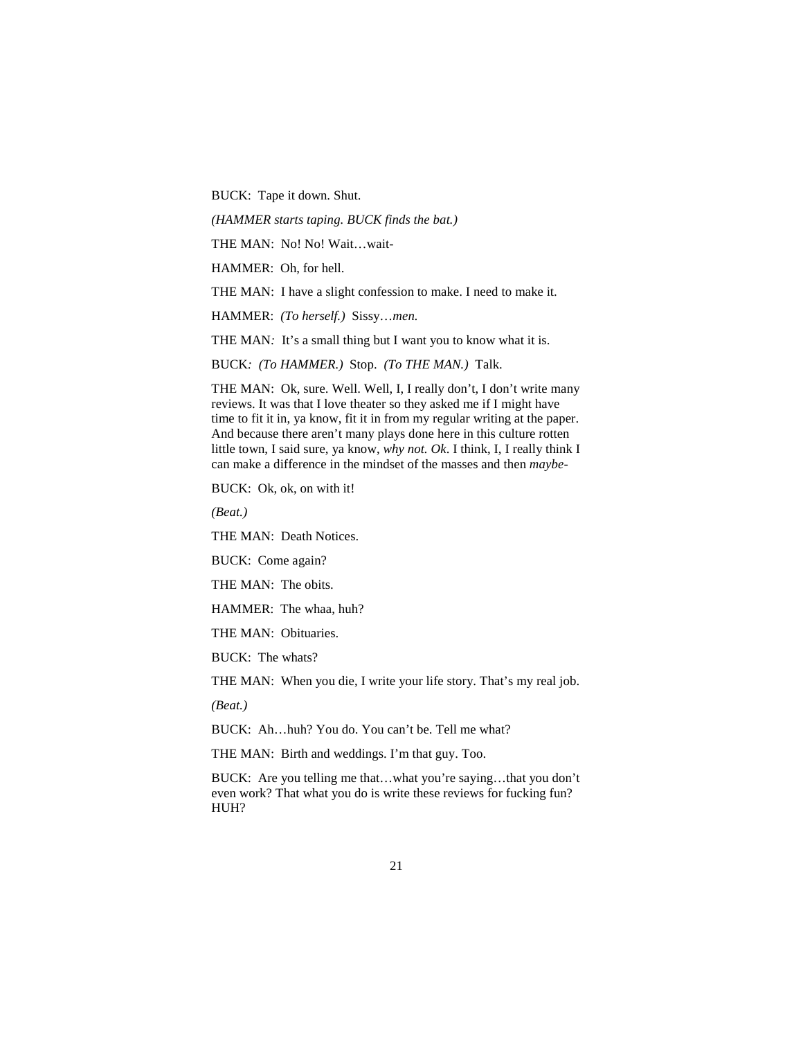BUCK:Tape it down. Shut.

*(HAMMER starts taping. BUCK finds the bat.)* 

THE MAN: No! No! Wait…wait-

HAMMER: Oh, for hell.

THE MAN: I have a slight confession to make. I need to make it.

HAMMER: *(To herself.)* Sissy…*men.* 

THE MAN: It's a small thing but I want you to know what it is.

BUCK*: (To HAMMER.)* Stop. *(To THE MAN.)* Talk.

THE MAN: Ok, sure. Well. Well, I, I really don't, I don't write many reviews. It was that I love theater so they asked me if I might have time to fit it in, ya know, fit it in from my regular writing at the paper. And because there aren't many plays done here in this culture rotten little town, I said sure, ya know, *why not. Ok*. I think, I, I really think I can make a difference in the mindset of the masses and then *maybe-*

BUCK: Ok, ok, on with it!

*(Beat.)* 

THE MAN: Death Notices.

BUCK: Come again?

THE MAN: The obits.

HAMMER: The whaa, huh?

THE MAN: Obituaries.

BUCK: The whats?

THE MAN: When you die, I write your life story. That's my real job.

*(Beat.)*

BUCK: Ah…huh? You do. You can't be. Tell me what?

THE MAN: Birth and weddings. I'm that guy. Too.

BUCK: Are you telling me that…what you're saying…that you don't even work? That what you do is write these reviews for fucking fun? HUH?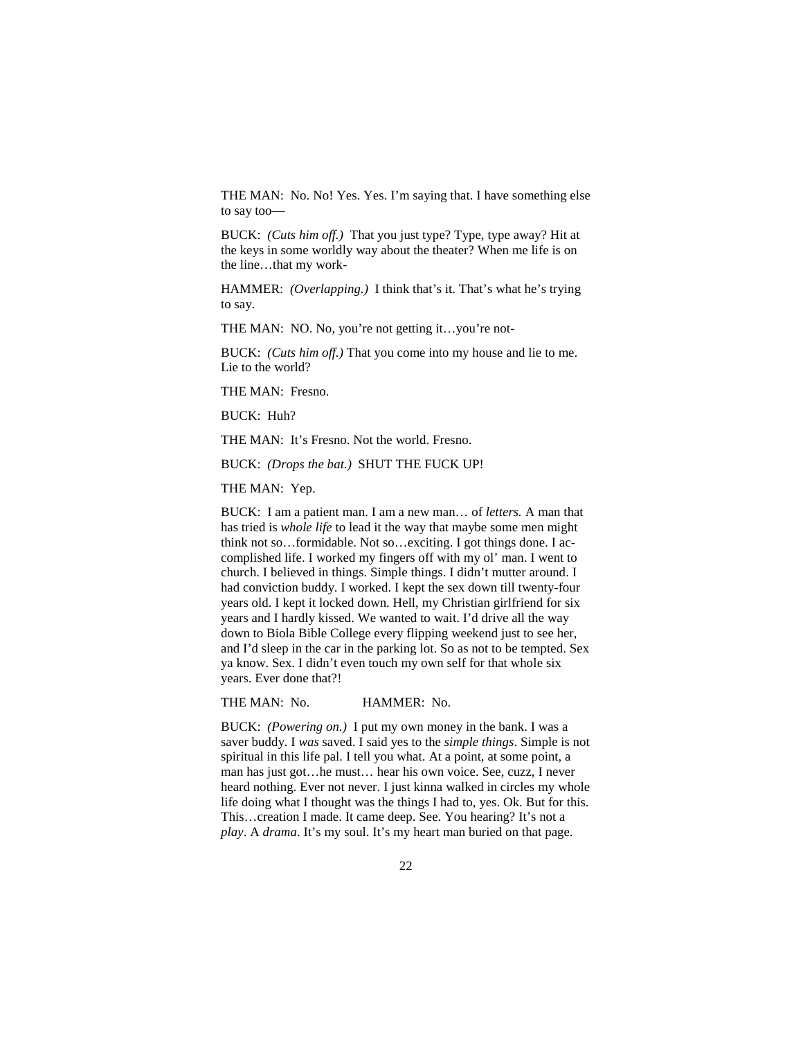THE MAN: No. No! Yes. Yes. I'm saying that. I have something else to say too—

BUCK: *(Cuts him off.)* That you just type? Type, type away? Hit at the keys in some worldly way about the theater? When me life is on the line…that my work-

HAMMER: *(Overlapping.)* I think that's it. That's what he's trying to say.

THE MAN: NO. No, you're not getting it…you're not-

BUCK: *(Cuts him off.)* That you come into my house and lie to me. Lie to the world?

THE MAN: Fresno.

BUCK: Huh?

THE MAN: It's Fresno. Not the world. Fresno.

BUCK: *(Drops the bat.)* SHUT THE FUCK UP!

THE MAN: Yep.

BUCK: I am a patient man. I am a new man… of *letters.* A man that has tried is *whole life* to lead it the way that maybe some men might think not so…formidable. Not so…exciting. I got things done. I accomplished life. I worked my fingers off with my ol' man. I went to church. I believed in things. Simple things. I didn't mutter around. I had conviction buddy. I worked. I kept the sex down till twenty-four years old. I kept it locked down. Hell, my Christian girlfriend for six years and I hardly kissed. We wanted to wait. I'd drive all the way down to Biola Bible College every flipping weekend just to see her, and I'd sleep in the car in the parking lot. So as not to be tempted. Sex ya know. Sex. I didn't even touch my own self for that whole six years. Ever done that?!

THE MAN: No. **HAMMER: No.** 

BUCK: *(Powering on.)* I put my own money in the bank. I was a saver buddy. I *was* saved. I said yes to the *simple things*. Simple is not spiritual in this life pal. I tell you what. At a point, at some point, a man has just got…he must… hear his own voice. See, cuzz, I never heard nothing. Ever not never. I just kinna walked in circles my whole life doing what I thought was the things I had to, yes. Ok. But for this. This…creation I made. It came deep. See. You hearing? It's not a *play*. A *drama*. It's my soul. It's my heart man buried on that page.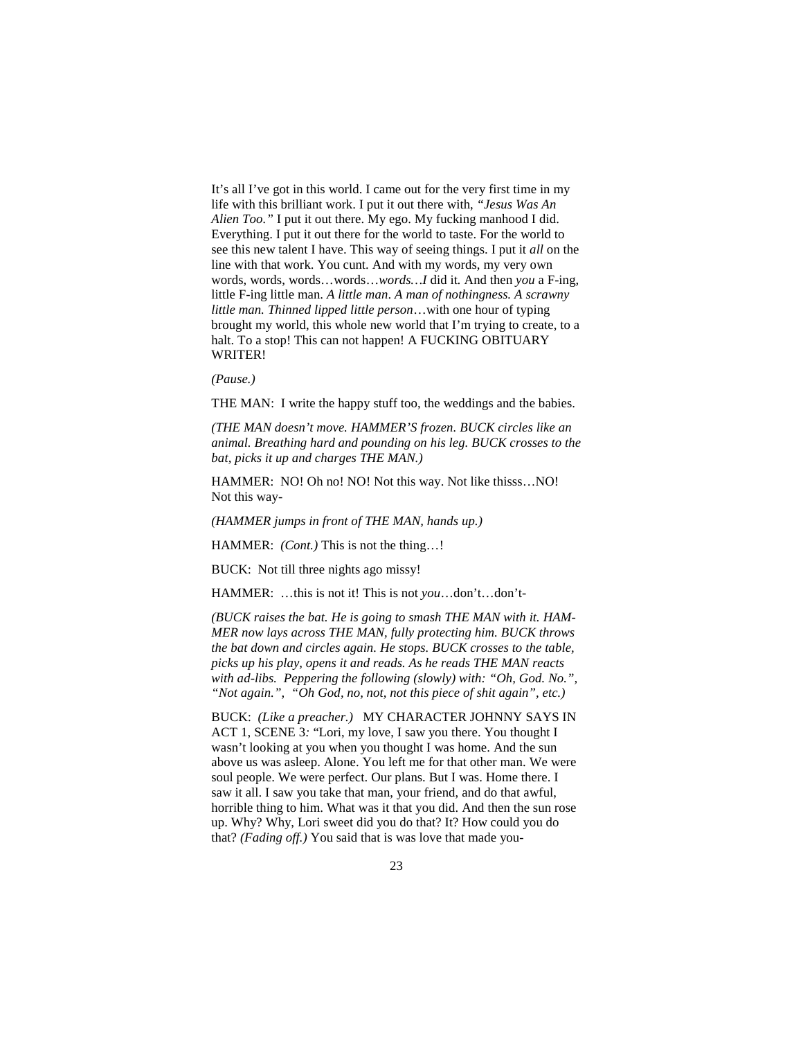It's all I've got in this world. I came out for the very first time in my life with this brilliant work. I put it out there with, *"Jesus Was An Alien Too."* I put it out there. My ego. My fucking manhood I did. Everything. I put it out there for the world to taste. For the world to see this new talent I have. This way of seeing things. I put it *all* on the line with that work. You cunt. And with my words, my very own words, words, words…words…*words…I* did it*.* And then *you* a F-ing, little F-ing little man. *A little man*. *A man of nothingness. A scrawny little man. Thinned lipped little person*…with one hour of typing brought my world, this whole new world that I'm trying to create, to a halt. To a stop! This can not happen! A FUCKING OBITUARY WRITER!

*(Pause.)* 

THE MAN: I write the happy stuff too, the weddings and the babies.

*(THE MAN doesn't move. HAMMER'S frozen. BUCK circles like an animal. Breathing hard and pounding on his leg. BUCK crosses to the bat, picks it up and charges THE MAN.)* 

HAMMER: NO! Oh no! NO! Not this way. Not like thisss…NO! Not this way-

*(HAMMER jumps in front of THE MAN, hands up.)*

HAMMER: *(Cont.)* This is not the thing…!

BUCK: Not till three nights ago missy!

HAMMER: …this is not it! This is not *you*…don't…don't-

*(BUCK raises the bat. He is going to smash THE MAN with it. HAM-MER now lays across THE MAN, fully protecting him. BUCK throws the bat down and circles again. He stops. BUCK crosses to the table, picks up his play, opens it and reads. As he reads THE MAN reacts*  with ad-libs. Peppering the following (slowly) with: "Oh, God. No.", *"Not again.", "Oh God, no, not, not this piece of shit again", etc.)* 

BUCK: *(Like a preacher.)* MY CHARACTER JOHNNY SAYS IN ACT 1, SCENE 3*:* "Lori, my love, I saw you there. You thought I wasn't looking at you when you thought I was home. And the sun above us was asleep. Alone. You left me for that other man. We were soul people. We were perfect. Our plans. But I was. Home there. I saw it all. I saw you take that man, your friend, and do that awful, horrible thing to him. What was it that you did. And then the sun rose up. Why? Why, Lori sweet did you do that? It? How could you do that? *(Fading off.)* You said that is was love that made you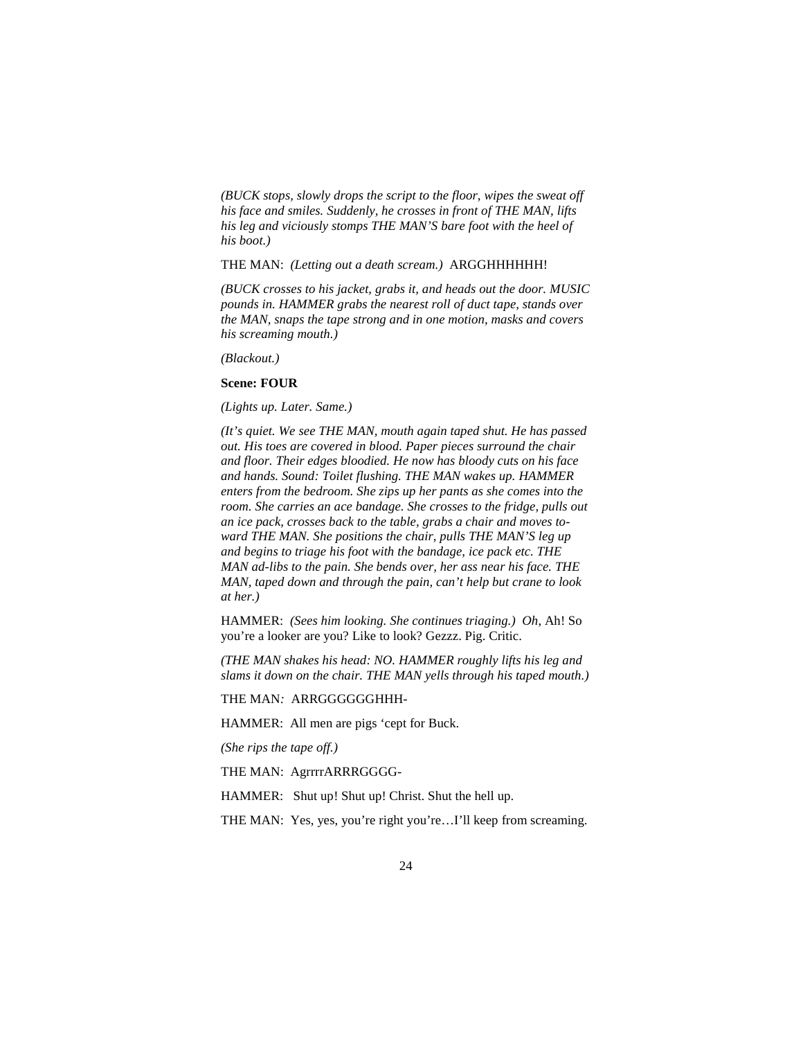*(BUCK stops, slowly drops the script to the floor, wipes the sweat off his face and smiles. Suddenly, he crosses in front of THE MAN, lifts his leg and viciously stomps THE MAN'S bare foot with the heel of his boot.)* 

THE MAN: *(Letting out a death scream.)* ARGGHHHHHH!

*(BUCK crosses to his jacket, grabs it, and heads out the door. MUSIC pounds in. HAMMER grabs the nearest roll of duct tape, stands over the MAN, snaps the tape strong and in one motion, masks and covers his screaming mouth.)* 

*(Blackout.)* 

#### **Scene: FOUR**

*(Lights up. Later. Same.)* 

*(It's quiet. We see THE MAN, mouth again taped shut. He has passed out. His toes are covered in blood. Paper pieces surround the chair and floor. Their edges bloodied. He now has bloody cuts on his face and hands. Sound: Toilet flushing. THE MAN wakes up. HAMMER enters from the bedroom. She zips up her pants as she comes into the room. She carries an ace bandage. She crosses to the fridge, pulls out an ice pack, crosses back to the table, grabs a chair and moves toward THE MAN. She positions the chair, pulls THE MAN'S leg up and begins to triage his foot with the bandage, ice pack etc. THE MAN ad-libs to the pain. She bends over, her ass near his face. THE MAN, taped down and through the pain, can't help but crane to look at her.)* 

HAMMER: *(Sees him looking. She continues triaging.) Oh*, Ah! So you're a looker are you? Like to look? Gezzz. Pig. Critic.

*(THE MAN shakes his head: NO. HAMMER roughly lifts his leg and slams it down on the chair. THE MAN yells through his taped mouth.)* 

THE MAN*:* ARRGGGGGGHHH-

HAMMER: All men are pigs 'cept for Buck.

*(She rips the tape off.)* 

THE MAN: AgrrrrARRRGGGG-

HAMMER: Shut up! Shut up! Christ. Shut the hell up.

THE MAN: Yes, yes, you're right you're...I'll keep from screaming.